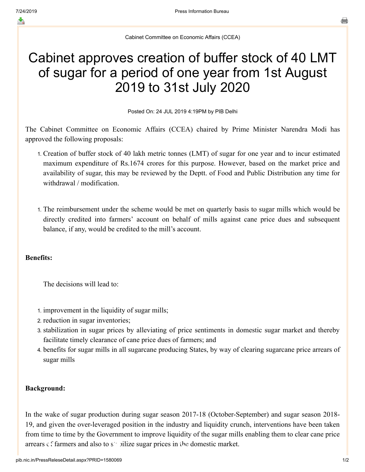≛

Cabinet Committee on Economic Affairs (CCEA)

# Cabinet approves creation of buffer stock of 40 LMT of sugar for a period of one year from 1st August 2019 to 31st July 2020

Posted On: 24 JUL 2019 4:19PM by PIB Delhi

The Cabinet Committee on Economic Affairs (CCEA) chaired by Prime Minister Narendra Modi has approved the following proposals:

- 1. Creation of buffer stock of 40 lakh metric tonnes (LMT) of sugar for one year and to incur estimated maximum expenditure of Rs.1674 crores for this purpose. However, based on the market price and availability of sugar, this may be reviewed by the Deptt. of Food and Public Distribution any time for withdrawal / modification.
- 1. The reimbursement under the scheme would be met on quarterly basis to sugar mills which would be directly credited into farmers' account on behalf of mills against cane price dues and subsequent balance, if any, would be credited to the mill's account.

### Benefits:

The decisions will lead to:

- 1. improvement in the liquidity of sugar mills;
- 2. reduction in sugar inventories;
- 3. stabilization in sugar prices by alleviating of price sentiments in domestic sugar market and thereby facilitate timely clearance of cane price dues of farmers; and
- 4. benefits for sugar mills in all sugarcane producing States, by way of clearing sugarcane price arrears of sugar mills

## Background:

In the wake of sugar production during sugar season 2017-18 (October-September) and sugar season 2018- 19, and given the over-leveraged position in the industry and liquidity crunch, interventions have been taken from time to time by the Government to improve liquidity of the sugar mills enabling them to clear cane price arrears  $\epsilon$  farmers and also to stabilize sugar prices in the domestic market.